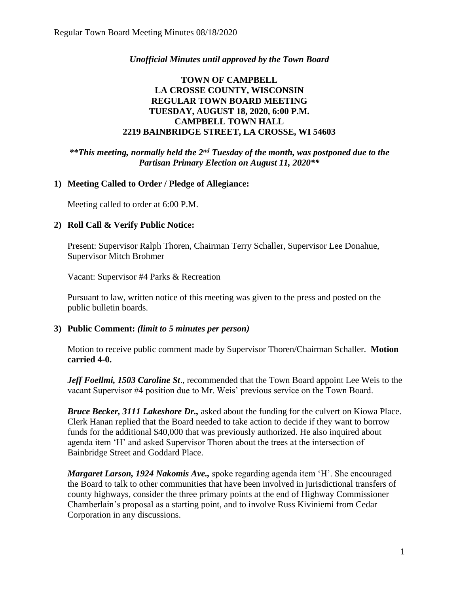### *Unofficial Minutes until approved by the Town Board*

### **TOWN OF CAMPBELL LA CROSSE COUNTY, WISCONSIN REGULAR TOWN BOARD MEETING TUESDAY, AUGUST 18, 2020, 6:00 P.M. CAMPBELL TOWN HALL 2219 BAINBRIDGE STREET, LA CROSSE, WI 54603**

*\*\*This meeting, normally held the 2nd Tuesday of the month, was postponed due to the Partisan Primary Election on August 11, 2020\*\**

#### **1) Meeting Called to Order / Pledge of Allegiance:**

Meeting called to order at 6:00 P.M.

#### **2) Roll Call & Verify Public Notice:**

Present: Supervisor Ralph Thoren, Chairman Terry Schaller, Supervisor Lee Donahue, Supervisor Mitch Brohmer

Vacant: Supervisor #4 Parks & Recreation

Pursuant to law, written notice of this meeting was given to the press and posted on the public bulletin boards.

#### **3) Public Comment:** *(limit to 5 minutes per person)*

Motion to receive public comment made by Supervisor Thoren/Chairman Schaller. **Motion carried 4-0.**

*Jeff Foellmi, 1503 Caroline St*., recommended that the Town Board appoint Lee Weis to the vacant Supervisor #4 position due to Mr. Weis' previous service on the Town Board.

*Bruce Becker, 3111 Lakeshore Dr.,* asked about the funding for the culvert on Kiowa Place. Clerk Hanan replied that the Board needed to take action to decide if they want to borrow funds for the additional \$40,000 that was previously authorized. He also inquired about agenda item 'H' and asked Supervisor Thoren about the trees at the intersection of Bainbridge Street and Goddard Place.

*Margaret Larson, 1924 Nakomis Ave.,* spoke regarding agenda item 'H'. She encouraged the Board to talk to other communities that have been involved in jurisdictional transfers of county highways, consider the three primary points at the end of Highway Commissioner Chamberlain's proposal as a starting point, and to involve Russ Kiviniemi from Cedar Corporation in any discussions.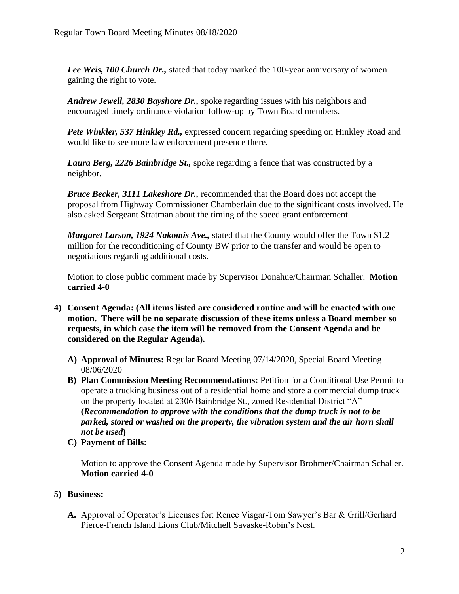*Lee Weis, 100 Church Dr.,* stated that today marked the 100-year anniversary of women gaining the right to vote.

*Andrew Jewell, 2830 Bayshore Dr.,* spoke regarding issues with his neighbors and encouraged timely ordinance violation follow-up by Town Board members.

*Pete Winkler, 537 Hinkley Rd.,* expressed concern regarding speeding on Hinkley Road and would like to see more law enforcement presence there.

*Laura Berg, 2226 Bainbridge St.,* spoke regarding a fence that was constructed by a neighbor.

*Bruce Becker, 3111 Lakeshore Dr.,* recommended that the Board does not accept the proposal from Highway Commissioner Chamberlain due to the significant costs involved. He also asked Sergeant Stratman about the timing of the speed grant enforcement.

*Margaret Larson, 1924 Nakomis Ave.,* stated that the County would offer the Town \$1.2 million for the reconditioning of County BW prior to the transfer and would be open to negotiations regarding additional costs.

Motion to close public comment made by Supervisor Donahue/Chairman Schaller. **Motion carried 4-0**

- **4) Consent Agenda: (All items listed are considered routine and will be enacted with one motion. There will be no separate discussion of these items unless a Board member so requests, in which case the item will be removed from the Consent Agenda and be considered on the Regular Agenda).**
	- **A) Approval of Minutes:** Regular Board Meeting 07/14/2020, Special Board Meeting 08/06/2020
	- **B) Plan Commission Meeting Recommendations:** Petition for a Conditional Use Permit to operate a trucking business out of a residential home and store a commercial dump truck on the property located at 2306 Bainbridge St., zoned Residential District "A" **(***Recommendation to approve with the conditions that the dump truck is not to be parked, stored or washed on the property, the vibration system and the air horn shall not be used***)**
	- **C) Payment of Bills:**

Motion to approve the Consent Agenda made by Supervisor Brohmer/Chairman Schaller. **Motion carried 4-0** 

# **5) Business:**

**A.** Approval of Operator's Licenses for: Renee Visgar-Tom Sawyer's Bar & Grill/Gerhard Pierce-French Island Lions Club/Mitchell Savaske-Robin's Nest.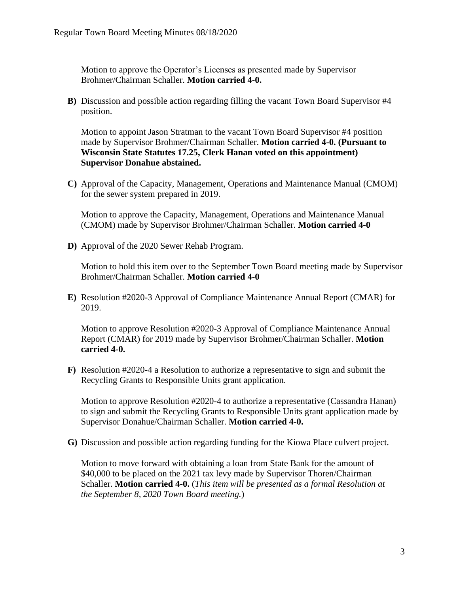Motion to approve the Operator's Licenses as presented made by Supervisor Brohmer/Chairman Schaller. **Motion carried 4-0.** 

**B)** Discussion and possible action regarding filling the vacant Town Board Supervisor #4 position.

Motion to appoint Jason Stratman to the vacant Town Board Supervisor #4 position made by Supervisor Brohmer/Chairman Schaller. **Motion carried 4-0. (Pursuant to Wisconsin State Statutes 17.25, Clerk Hanan voted on this appointment) Supervisor Donahue abstained.** 

**C)** Approval of the Capacity, Management, Operations and Maintenance Manual (CMOM) for the sewer system prepared in 2019.

Motion to approve the Capacity, Management, Operations and Maintenance Manual (CMOM) made by Supervisor Brohmer/Chairman Schaller. **Motion carried 4-0**

**D)** Approval of the 2020 Sewer Rehab Program.

Motion to hold this item over to the September Town Board meeting made by Supervisor Brohmer/Chairman Schaller. **Motion carried 4-0**

**E)** Resolution #2020-3 Approval of Compliance Maintenance Annual Report (CMAR) for 2019.

Motion to approve Resolution #2020-3 Approval of Compliance Maintenance Annual Report (CMAR) for 2019 made by Supervisor Brohmer/Chairman Schaller. **Motion carried 4-0.** 

**F)** Resolution #2020-4 a Resolution to authorize a representative to sign and submit the Recycling Grants to Responsible Units grant application.

Motion to approve Resolution #2020-4 to authorize a representative (Cassandra Hanan) to sign and submit the Recycling Grants to Responsible Units grant application made by Supervisor Donahue/Chairman Schaller. **Motion carried 4-0.** 

**G)** Discussion and possible action regarding funding for the Kiowa Place culvert project.

Motion to move forward with obtaining a loan from State Bank for the amount of \$40,000 to be placed on the 2021 tax levy made by Supervisor Thoren/Chairman Schaller. **Motion carried 4-0.** (*This item will be presented as a formal Resolution at the September 8, 2020 Town Board meeting.*)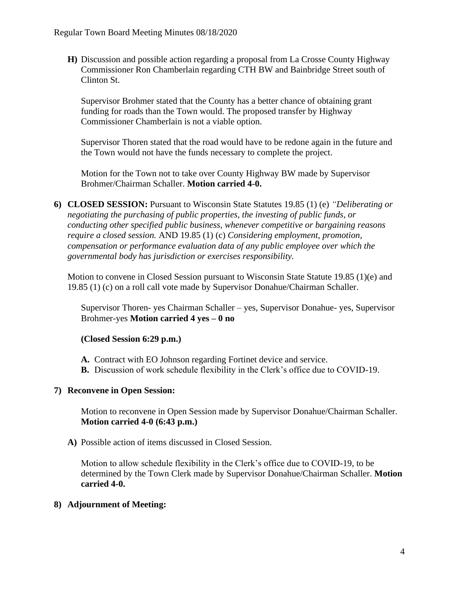**H)** Discussion and possible action regarding a proposal from La Crosse County Highway Commissioner Ron Chamberlain regarding CTH BW and Bainbridge Street south of Clinton St.

Supervisor Brohmer stated that the County has a better chance of obtaining grant funding for roads than the Town would. The proposed transfer by Highway Commissioner Chamberlain is not a viable option.

Supervisor Thoren stated that the road would have to be redone again in the future and the Town would not have the funds necessary to complete the project.

Motion for the Town not to take over County Highway BW made by Supervisor Brohmer/Chairman Schaller. **Motion carried 4-0.** 

**6) CLOSED SESSION:** Pursuant to Wisconsin State Statutes 19.85 (1) (e) *"Deliberating or negotiating the purchasing of public properties, the investing of public funds, or conducting other specified public business, whenever competitive or bargaining reasons require a closed session.* AND 19.85 (1) (c) *Considering employment, promotion, compensation or performance evaluation data of any public employee over which the governmental body has jurisdiction or exercises responsibility.*

Motion to convene in Closed Session pursuant to Wisconsin State Statute 19.85 (1)(e) and 19.85 (1) (c) on a roll call vote made by Supervisor Donahue/Chairman Schaller.

Supervisor Thoren- yes Chairman Schaller – yes, Supervisor Donahue- yes, Supervisor Brohmer-yes **Motion carried 4 yes – 0 no** 

## **(Closed Session 6:29 p.m.)**

- **A.** Contract with EO Johnson regarding Fortinet device and service.
- **B.** Discussion of work schedule flexibility in the Clerk's office due to COVID-19.

## **7) Reconvene in Open Session:**

Motion to reconvene in Open Session made by Supervisor Donahue/Chairman Schaller. **Motion carried 4-0 (6:43 p.m.)** 

**A)** Possible action of items discussed in Closed Session.

Motion to allow schedule flexibility in the Clerk's office due to COVID-19, to be determined by the Town Clerk made by Supervisor Donahue/Chairman Schaller. **Motion carried 4-0.**

## **8) Adjournment of Meeting:**